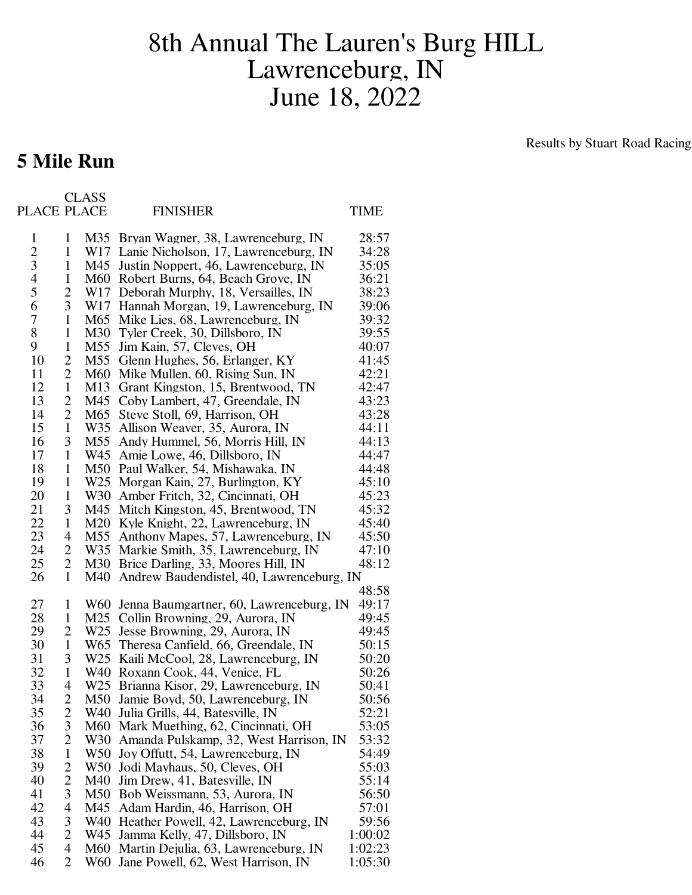## 8th Annual The Lauren's Burg HILL Lawrenceburg, IN June 18, 2022

## **5 Mile Run**

Results by Stuart Road Racing

| PLACE PLACE    |                              | <b>CLASS</b>           | <b>FINISHER</b>                                                     | TIME           |
|----------------|------------------------------|------------------------|---------------------------------------------------------------------|----------------|
| 1              | 1                            |                        | M35 Bryan Wagner, 38, Lawrenceburg, IN                              | 28:57          |
| $\mathbf{2}$   | $\mathbf{1}$                 |                        | W17 Lanie Nicholson, 17, Lawrenceburg, IN                           | 34:28          |
| 3              | $\mathbf{1}$                 | M45                    | Justin Noppert, 46, Lawrenceburg, IN                                | 35:05          |
| $\overline{4}$ | $\mathbf{1}$                 | M60                    | Robert Burns, 64, Beach Grove, IN                                   | 36:21          |
| 5              | $\overline{c}$               | W17                    | Deborah Murphy, 18, Versailles, IN                                  | 38:23          |
| 6              | 3                            | W17                    | Hannah Morgan, 19, Lawrenceburg, IN                                 | 39:06          |
| 7              | $\mathbf{1}$                 | M65                    | Mike Lies, 68, Lawrenceburg, IN                                     | 39:32          |
| 8              | $\mathbf{1}$                 | M30                    | Tyler Creek, 30, Dillsboro, IN                                      | 39:55          |
| 9              | $\mathbf{1}$                 | M55                    | Jim Kain, 57, Cleves, OH                                            | 40:07          |
| 10             | 2                            | M55                    | Glenn Hughes, 56, Erlanger, KY                                      | 41:45          |
| 11             | 2                            | M60                    | Mike Mullen, 60, Rising Sun, IN                                     | 42:21          |
| 12             | $\mathbf{1}$                 | M <sub>13</sub>        | Grant Kingston, 15, Brentwood, TN                                   | 42:47          |
| 13             | $\overline{c}$               | M45                    | Coby Lambert, 47, Greendale, IN                                     | 43:23          |
| 14             | $\overline{c}$               | M65                    | Steve Stoll, 69, Harrison, OH                                       | 43:28          |
| 15             | $\mathbf{1}$                 | W35                    | Allison Weaver, 35, Aurora, IN                                      | 44:11          |
| 16             | 3                            | M55                    | Andy Hummel, 56, Morris Hill, IN                                    | 44:13          |
| 17             | $\mathbf{1}$                 | W45                    | Amie Lowe, 46, Dillsboro, IN                                        | 44:47          |
| 18<br>19       | $\mathbf{1}$<br>$\mathbf{1}$ | M50<br>W <sub>25</sub> | Paul Walker, 54, Mishawaka, IN                                      | 44:48<br>45:10 |
| 20             | $\mathbf{1}$                 | W <sub>30</sub>        | Morgan Kain, 27, Burlington, KY<br>Amber Fritch, 32, Cincinnati, OH | 45:23          |
| 21             | 3                            | M45                    | Mitch Kingston, 45, Brentwood, TN                                   | 45:32          |
| 22             | $\mathbf{1}$                 | M20                    | Kyle Knight, 22, Lawrenceburg, IN                                   | 45:40          |
| 23             | 4                            | M55                    | Anthony Mapes, 57, Lawrenceburg, IN                                 | 45:50          |
| 24             | $\overline{c}$               | W35                    | Markie Smith, 35, Lawrenceburg, IN                                  | 47:10          |
| 25             | $\overline{2}$               | M30                    | Brice Darling, 33, Moores Hill, IN                                  | 48:12          |
| 26             | $\mathbf{1}$                 | M40                    | Andrew Baudendistel, 40, Lawrenceburg, IN                           |                |
|                |                              |                        |                                                                     | 48:58          |
| 27             | 1                            | W60                    | Jenna Baumgartner, 60, Lawrenceburg, IN                             | 49:17          |
| 28             | $\mathbf{1}$                 | M25                    | Collin Browning, 29, Aurora, IN                                     | 49:45          |
| 29             | 2                            | W <sub>25</sub>        | Jesse Browning, 29, Aurora, IN                                      | 49:45          |
| 30<br>31       | $\mathbf{1}$                 | W <sub>65</sub>        | Theresa Canfield, 66, Greendale, IN                                 | 50:15          |
| 32             | 3<br>1                       | W <sub>25</sub><br>W40 | Kaili McCool, 28, Lawrenceburg, IN<br>Roxann Cook, 44, Venice, FL   | 50:20<br>50:26 |
| 33             | 4                            |                        | W25 Brianna Kisor, 29, Lawrenceburg, IN                             | 50:41          |
| 34             | 2                            | M50                    | Jamie Boyd, 50, Lawrenceburg, IN                                    | 50:56          |
| 35             | $\overline{c}$               | W40                    | Julia Grills, 44, Batesville, IN                                    | 52:21          |
| 36             | 3                            | M60                    | Mark Muething, 62, Cincinnati, OH                                   | 53:05          |
| 37             | $\overline{2}$               | W30                    | Amanda Pulskamp, 32, West Harrison, IN                              | 53:32          |
| 38             | $\mathbf{1}$                 | W50                    | Joy Offutt, 54, Lawrenceburg, IN                                    | 54:49          |
| 39             | $\overline{c}$               | W <sub>50</sub>        | Jodi Mayhaus, 50, Cleves, OH                                        | 55:03          |
| 40             | $\overline{c}$               | M40                    | Jim Drew, 41, Batesville, IN                                        | 55:14          |
| 41             | 3                            | M50                    | Bob Weissmann, 53, Aurora, IN                                       | 56:50          |
| 42             | 4                            | M45                    | Adam Hardin, 46, Harrison, OH                                       | 57:01          |
| 43             | 3                            | W40                    | Heather Powell, 42, Lawrenceburg, IN                                | 59:56          |
| 44             | $\overline{2}$               | W45                    | Jamma Kelly, 47, Dillsboro, IN                                      | 1:00:02        |
| 45             | 4                            | M60                    | Martin Dejulia, 63, Lawrenceburg, IN                                | 1:02:23        |
| 46             | $\overline{2}$               | W60                    | Jane Powell, 62, West Harrison, IN                                  | 1:05:30        |